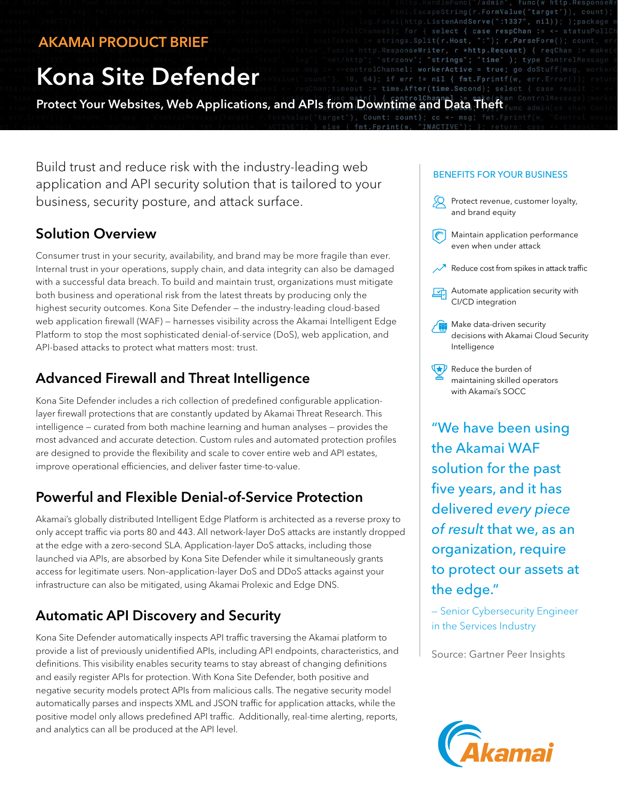### AKAMAI PRODUCT BRIEF

# Kona Site Defender

Protect Your Websites, Web Applications, and APIs from Downtime and Data Theft

Build trust and reduce risk with the industry-leading web application and API security solution that is tailored to your business, security posture, and attack surface.

#### Solution Overview

Consumer trust in your security, availability, and brand may be more fragile than ever. Internal trust in your operations, supply chain, and data integrity can also be damaged with a successful data breach. To build and maintain trust, organizations must mitigate both business and operational risk from the latest threats by producing only the highest security outcomes. Kona Site Defender — the industry-leading cloud-based web application firewall (WAF) — harnesses visibility across the Akamai Intelligent Edge Platform to stop the most sophisticated denial-of-service (DoS), web application, and API-based attacks to protect what matters most: trust.

#### Advanced Firewall and Threat Intelligence

Kona Site Defender includes a rich collection of predefined configurable applicationlayer firewall protections that are constantly updated by Akamai Threat Research. This intelligence — curated from both machine learning and human analyses — provides the most advanced and accurate detection. Custom rules and automated protection profiles are designed to provide the flexibility and scale to cover entire web and API estates, improve operational efficiencies, and deliver faster time-to-value.

#### Powerful and Flexible Denial-of-Service Protection

Akamai's globally distributed Intelligent Edge Platform is architected as a reverse proxy to only accept traffic via ports 80 and 443. All network-layer DoS attacks are instantly dropped at the edge with a zero-second SLA. Application-layer DoS attacks, including those launched via APIs, are absorbed by Kona Site Defender while it simultaneously grants access for legitimate users. Non–application-layer DoS and DDoS attacks against your infrastructure can also be mitigated, using Akamai Prolexic and Edge DNS.

# Automatic API Discovery and Security

Kona Site Defender automatically inspects API traffic traversing the Akamai platform to provide a list of previously unidentified APIs, including API endpoints, characteristics, and definitions. This visibility enables security teams to stay abreast of changing definitions and easily register APIs for protection. With Kona Site Defender, both positive and negative security models protect APIs from malicious calls. The negative security model automatically parses and inspects XML and JSON traffic for application attacks, while the positive model only allows predefined API traffic. Additionally, real-time alerting, reports, and analytics can all be produced at the API level.

#### BENEFITS FOR YOUR BUSINESS

enAndServe(":1337'

.Host.

Active

time.Second); select

{ case respChan ::

 $nil)$ : }: packag

); type ControlM

- $\Omega$ Protect revenue, customer loyalty, and brand equity
- $\lceil$ Maintain application performance even when under attack
- Reduce cost from spikes in attack traffic
- Automate application security with 团 CI/CD integration
- Make data-driven security decisions with Akamai Cloud Security Intelligence
- $\nabla$  Reduce the burden of maintaining skilled operators with Akamai's SOCC

"We have been using the Akamai WAF solution for the past five years, and it has delivered *every piece of result* that we, as an organization, require to protect our assets at the edge."

— Senior Cybersecurity Engineer in the Services Industry

Source: Gartner Peer Insights

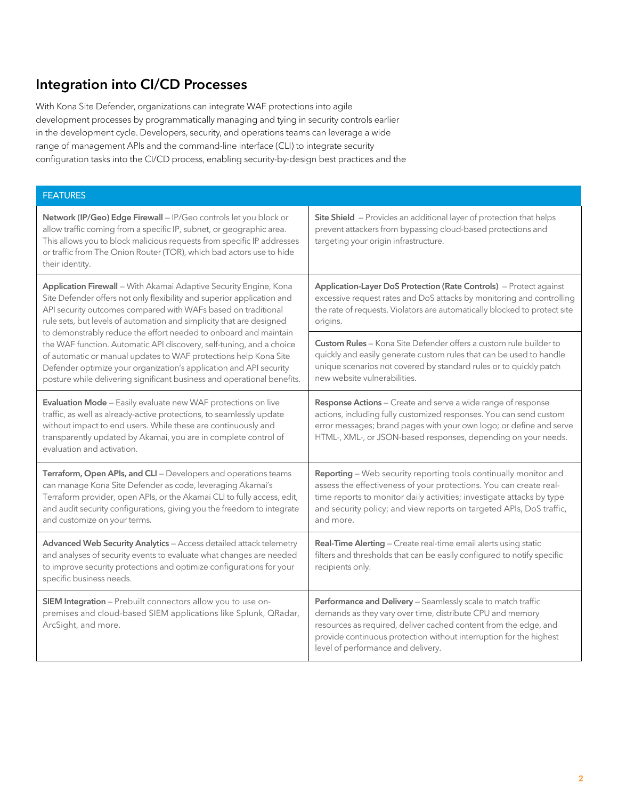## Integration into CI/CD Processes

With Kona Site Defender, organizations can integrate WAF protections into agile development processes by programmatically managing and tying in security controls earlier in the development cycle. Developers, security, and operations teams can leverage a wide range of management APIs and the command-line interface (CLI) to integrate security configuration tasks into the CI/CD process, enabling security-by-design best practices and the

| <b>FEATURES</b>                                                                                                                                                                                                                                                                                                                                                                                                                                                                                                                                                                                                                                       |                                                                                                                                                                                                                                                                                                           |
|-------------------------------------------------------------------------------------------------------------------------------------------------------------------------------------------------------------------------------------------------------------------------------------------------------------------------------------------------------------------------------------------------------------------------------------------------------------------------------------------------------------------------------------------------------------------------------------------------------------------------------------------------------|-----------------------------------------------------------------------------------------------------------------------------------------------------------------------------------------------------------------------------------------------------------------------------------------------------------|
| Network (IP/Geo) Edge Firewall - IP/Geo controls let you block or<br>allow traffic coming from a specific IP, subnet, or geographic area.<br>This allows you to block malicious requests from specific IP addresses<br>or traffic from The Onion Router (TOR), which bad actors use to hide<br>their identity.                                                                                                                                                                                                                                                                                                                                        | Site Shield - Provides an additional layer of protection that helps<br>prevent attackers from bypassing cloud-based protections and<br>targeting your origin infrastructure.                                                                                                                              |
| Application Firewall - With Akamai Adaptive Security Engine, Kona<br>Site Defender offers not only flexibility and superior application and<br>API security outcomes compared with WAFs based on traditional<br>rule sets, but levels of automation and simplicity that are designed<br>to demonstrably reduce the effort needed to onboard and maintain<br>the WAF function. Automatic API discovery, self-tuning, and a choice<br>of automatic or manual updates to WAF protections help Kona Site<br>Defender optimize your organization's application and API security<br>posture while delivering significant business and operational benefits. | Application-Layer DoS Protection (Rate Controls) - Protect against<br>excessive request rates and DoS attacks by monitoring and controlling<br>the rate of requests. Violators are automatically blocked to protect site<br>origins.                                                                      |
|                                                                                                                                                                                                                                                                                                                                                                                                                                                                                                                                                                                                                                                       | Custom Rules - Kona Site Defender offers a custom rule builder to<br>quickly and easily generate custom rules that can be used to handle<br>unique scenarios not covered by standard rules or to quickly patch<br>new website vulnerabilities.                                                            |
| Evaluation Mode - Easily evaluate new WAF protections on live<br>traffic, as well as already-active protections, to seamlessly update<br>without impact to end users. While these are continuously and<br>transparently updated by Akamai, you are in complete control of<br>evaluation and activation.                                                                                                                                                                                                                                                                                                                                               | Response Actions - Create and serve a wide range of response<br>actions, including fully customized responses. You can send custom<br>error messages; brand pages with your own logo; or define and serve<br>HTML-, XML-, or JSON-based responses, depending on your needs.                               |
| Terraform, Open APIs, and CLI - Developers and operations teams<br>can manage Kona Site Defender as code, leveraging Akamai's<br>Terraform provider, open APIs, or the Akamai CLI to fully access, edit,<br>and audit security configurations, giving you the freedom to integrate<br>and customize on your terms.                                                                                                                                                                                                                                                                                                                                    | Reporting - Web security reporting tools continually monitor and<br>assess the effectiveness of your protections. You can create real-<br>time reports to monitor daily activities; investigate attacks by type<br>and security policy; and view reports on targeted APIs, DoS traffic,<br>and more.      |
| Advanced Web Security Analytics - Access detailed attack telemetry<br>and analyses of security events to evaluate what changes are needed<br>to improve security protections and optimize configurations for your<br>specific business needs.                                                                                                                                                                                                                                                                                                                                                                                                         | Real-Time Alerting - Create real-time email alerts using static<br>filters and thresholds that can be easily configured to notify specific<br>recipients only.                                                                                                                                            |
| SIEM Integration - Prebuilt connectors allow you to use on-<br>premises and cloud-based SIEM applications like Splunk, QRadar,<br>ArcSight, and more.                                                                                                                                                                                                                                                                                                                                                                                                                                                                                                 | Performance and Delivery - Seamlessly scale to match traffic<br>demands as they vary over time, distribute CPU and memory<br>resources as required, deliver cached content from the edge, and<br>provide continuous protection without interruption for the highest<br>level of performance and delivery. |